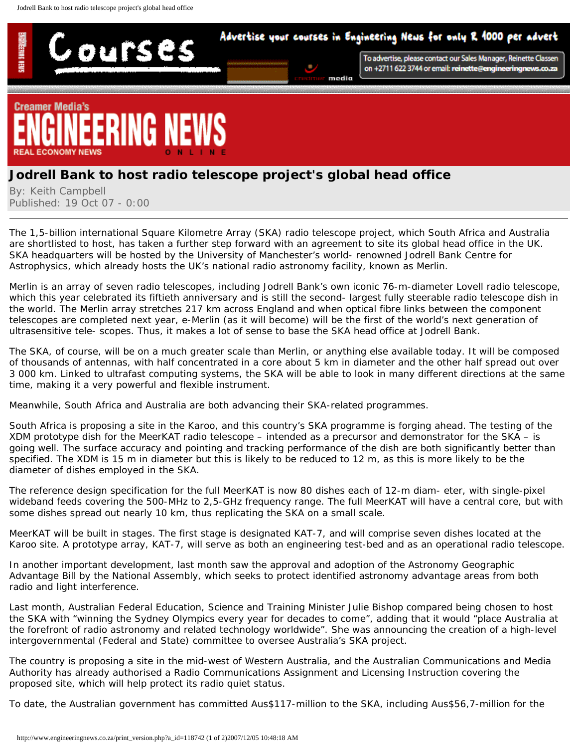## Advertise your courses in Engineering News for only R 1000 per advert



To advertise, please contact our Sales Manager, Reinette Classen on +2711 622 3744 or email: reinette@engineeringnews.co.za



ours

## **Jodrell Bank to host radio telescope project's global head office**

By: Keith Campbell Published: 19 Oct 07 - 0:00

The €1,5-billion international Square Kilometre Array (SKA) radio telescope project, which South Africa and Australia are shortlisted to host, has taken a further step forward with an agreement to site its global head office in the UK. SKA headquarters will be hosted by the University of Manchester's world- renowned Jodrell Bank Centre for Astrophysics, which already hosts the UK's national radio astronomy facility, known as Merlin.

Merlin is an array of seven radio telescopes, including Jodrell Bank's own iconic 76-m-diameter Lovell radio telescope, which this year celebrated its fiftieth anniversary and is still the second- largest fully steerable radio telescope dish in the world. The Merlin array stretches 217 km across England and when optical fibre links between the component telescopes are completed next year, e-Merlin (as it will become) will be the first of the world's next generation of ultrasensitive tele- scopes. Thus, it makes a lot of sense to base the SKA head office at Jodrell Bank.

The SKA, of course, will be on a much greater scale than Merlin, or anything else available today. It will be composed of thousands of antennas, with half concentrated in a core about 5 km in diameter and the other half spread out over 3 000 km. Linked to ultrafast computing systems, the SKA will be able to look in many different directions at the same time, making it a very powerful and flexible instrument.

Meanwhile, South Africa and Australia are both advancing their SKA-related programmes.

South Africa is proposing a site in the Karoo, and this country's SKA programme is forging ahead. The testing of the XDM prototype dish for the MeerKAT radio telescope – intended as a precursor and demonstrator for the SKA – is going well. The surface accuracy and pointing and tracking performance of the dish are both significantly better than specified. The XDM is 15 m in diameter but this is likely to be reduced to 12 m, as this is more likely to be the diameter of dishes employed in the SKA.

The reference design specification for the full MeerKAT is now 80 dishes each of 12-m diam- eter, with single-pixel wideband feeds covering the 500-MHz to 2,5-GHz frequency range. The full MeerKAT will have a central core, but with some dishes spread out nearly 10 km, thus replicating the SKA on a small scale.

MeerKAT will be built in stages. The first stage is designated KAT-7, and will comprise seven dishes located at the Karoo site. A prototype array, KAT-7, will serve as both an engineering test-bed and as an operational radio telescope.

In another important development, last month saw the approval and adoption of the Astronomy Geographic Advantage Bill by the National Assembly, which seeks to protect identified astronomy advantage areas from both radio and light interference.

Last month, Australian Federal Education, Science and Training Minister Julie Bishop compared being chosen to host the SKA with "winning the Sydney Olympics every year for decades to come", adding that it would "place Australia at the forefront of radio astronomy and related technology worldwide". She was announcing the creation of a high-level intergovernmental (Federal and State) committee to oversee Australia's SKA project.

The country is proposing a site in the mid-west of Western Australia, and the Australian Communications and Media Authority has already authorised a Radio Communications Assignment and Licensing Instruction covering the proposed site, which will help protect its radio quiet status.

To date, the Australian government has committed Aus\$117-million to the SKA, including Aus\$56,7-million for the